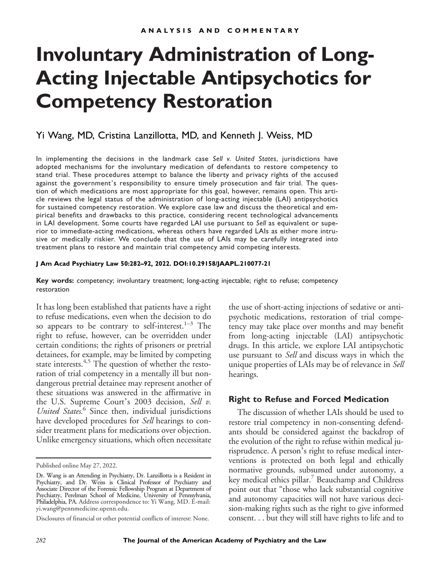# **Involuntary Administration of Long-Acting Injectable Antipsychotics for Competency Restoration**

# Yi Wang, MD, Cristina Lanzillotta, MD, and Kenneth J. Weiss, MD

In implementing the decisions in the landmark case *Sell v. United States*, jurisdictions have adopted mechanisms for the involuntary medication of defendants to restore competency to stand trial. These procedures attempt to balance the liberty and privacy rights of the accused against the government's responsibility to ensure timely prosecution and fair trial. The question of which medications are most appropriate for this goal, however, remains open. This article reviews the legal status of the administration of long-acting injectable (LAI) antipsychotics for sustained competency restoration. We explore case law and discuss the theoretical and empirical benefits and drawbacks to this practice, considering recent technological advancements in LAI development. Some courts have regarded LAI use pursuant to *Sell* as equivalent or superior to immediate-acting medications, whereas others have regarded LAIs as either more intrusive or medically riskier. We conclude that the use of LAIs may be carefully integrated into treatment plans to restore and maintain trial competency amid competing interests.

#### **J Am Acad Psychiatry Law 50:282–92, 2022. DOI:10.29158/JAAPL.210077-21**

**Key words:** competency; involuntary treatment; long-acting injectable; right to refuse; competency restoration

It has long been established that patients have a right to refuse medications, even when the decision to do so appears to be contrary to self-interest.<sup>1–3</sup> The right to refuse, however, can be overridden under certain conditions; the rights of prisoners or pretrial detainees, for example, may be limited by competing state interests. $4,5$  The question of whether the restoration of trial competency in a mentally ill but nondangerous pretrial detainee may represent another of these situations was answered in the affirmative in the U.S. Supreme Court's 2003 decision, Sell v. United States.<sup>6</sup> Since then, individual jurisdictions have developed procedures for *Sell* hearings to consider treatment plans for medications over objection. Unlike emergency situations, which often necessitate the use of short-acting injections of sedative or antipsychotic medications, restoration of trial competency may take place over months and may benefit from long-acting injectable (LAI) antipsychotic drugs. In this article, we explore LAI antipsychotic use pursuant to Sell and discuss ways in which the unique properties of LAIs may be of relevance in *Sell* hearings.

#### **Right to Refuse and Forced Medication**

The discussion of whether LAIs should be used to restore trial competency in non-consenting defendants should be considered against the backdrop of the evolution of the right to refuse within medical jurisprudence. A person's right to refuse medical interventions is protected on both legal and ethically normative grounds, subsumed under autonomy, a key medical ethics pillar.<sup>7</sup> Beauchamp and Childress point out that "those who lack substantial cognitive and autonomy capacities will not have various decision-making rights such as the right to give informed consent. . . but they will still have rights to life and to

Published online May 27, 2022.

Dr. Wang is an Attending in Psychiatry, Dr. Lanzillotta is a Resident in Psychiatry, and Dr. Weiss is Clinical Professor of Psychiatry and Associate Director of the Forensic Fellowship Program at Department of Psychiatry, Perelman School of Medicine, University of Pennsylvania, Philadelphia, PA. Address correspondence to: Yi Wang, MD. E-mail: [yi.wang@pennmedicine.upenn.edu.](mailto:yi.wang@pennmedicine.upenn.edu)

Disclosures of financial or other potential conflicts of interest: None.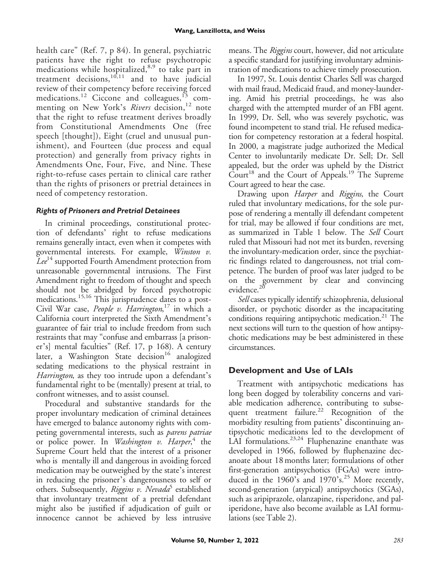health care" (Ref. 7, p 84). In general, psychiatric patients have the right to refuse psychotropic medications while hospitalized,<sup>8,9</sup> to take part in treatment decisions,  $10,11$  and to have judicial review of their competency before receiving forced medications.<sup>12</sup> Ciccone and colleagues,<sup>13</sup> commenting on New York's Rivers decision,<sup>12</sup> note that the right to refuse treatment derives broadly from Constitutional Amendments One (free speech [thought]), Eight (cruel and unusual punishment), and Fourteen (due process and equal protection) and generally from privacy rights in Amendments One, Four, Five, and Nine. These right-to-refuse cases pertain to clinical care rather than the rights of prisoners or pretrial detainees in need of competency restoration.

## *Rights of Prisoners and Pretrial Detainees*

In criminal proceedings, constitutional protection of defendants' right to refuse medications remains generally intact, even when it competes with governmental interests. For example, Winston v. Lee<sup>14</sup> supported Fourth Amendment protection from unreasonable governmental intrusions. The First Amendment right to freedom of thought and speech should not be abridged by forced psychotropic medications.15,16 This jurisprudence dates to a post-Civil War case, People v. Harrington,<sup>17</sup> in which a California court interpreted the Sixth Amendment's guarantee of fair trial to include freedom from such restraints that may "confuse and embarrass [a prisoner's] mental faculties" (Ref. 17, p 168). A century later, a Washington State decision<sup>16</sup> analogized sedating medications to the physical restraint in Harrington, as they too intrude upon a defendant's fundamental right to be (mentally) present at trial, to confront witnesses, and to assist counsel.

Procedural and substantive standards for the proper involuntary medication of criminal detainees have emerged to balance autonomy rights with competing governmental interests, such as parens patriae or police power. In *Washington v. Harper*,<sup>4</sup> the Supreme Court held that the interest of a prisoner who is mentally ill and dangerous in avoiding forced medication may be outweighed by the state's interest in reducing the prisoner's dangerousness to self or others. Subsequently, Riggins v. Nevada<sup>3</sup> established that involuntary treatment of a pretrial defendant might also be justified if adjudication of guilt or innocence cannot be achieved by less intrusive means. The *Riggins* court, however, did not articulate a specific standard for justifying involuntary administration of medications to achieve timely prosecution.

In 1997, St. Louis dentist Charles Sell was charged with mail fraud, Medicaid fraud, and money-laundering. Amid his pretrial proceedings, he was also charged with the attempted murder of an FBI agent. In 1999, Dr. Sell, who was severely psychotic, was found incompetent to stand trial. He refused medication for competency restoration at a federal hospital. In 2000, a magistrate judge authorized the Medical Center to involuntarily medicate Dr. Sell; Dr. Sell appealed, but the order was upheld by the District  $\tilde{C}$ ourt<sup>18</sup> and the Court of Appeals.<sup>19</sup> The Supreme Court agreed to hear the case.

Drawing upon *Harper* and *Riggins*, the Court ruled that involuntary medications, for the sole purpose of rendering a mentally ill defendant competent for trial, may be allowed if four conditions are met, as summarized in Table 1 below. The Sell Court ruled that Missouri had not met its burden, reversing the involuntary-medication order, since the psychiatric findings related to dangerousness, not trial competence. The burden of proof was later judged to be on the government by clear and convincing evidence.<sup>20</sup>

Sell cases typically identify schizophrenia, delusional disorder, or psychotic disorder as the incapacitating conditions requiring antipsychotic medication.<sup>21</sup> The next sections will turn to the question of how antipsychotic medications may be best administered in these circumstances.

# **Development and Use of LAIs**

Treatment with antipsychotic medications has long been dogged by tolerability concerns and variable medication adherence, contributing to subsequent treatment failure.<sup>22</sup> Recognition of the morbidity resulting from patients' discontinuing antipsychotic medications led to the development of LAI formulations.<sup>23,24</sup> Fluphenazine enanthate was developed in 1966, followed by fluphenazine decanoate about 18 months later; formulations of other first-generation antipsychotics (FGAs) were introduced in the 1960's and 1970's.<sup>25</sup> More recently, second-generation (atypical) antipsychotics (SGAs), such as aripiprazole, olanzapine, risperidone, and paliperidone, have also become available as LAI formulations (see Table 2).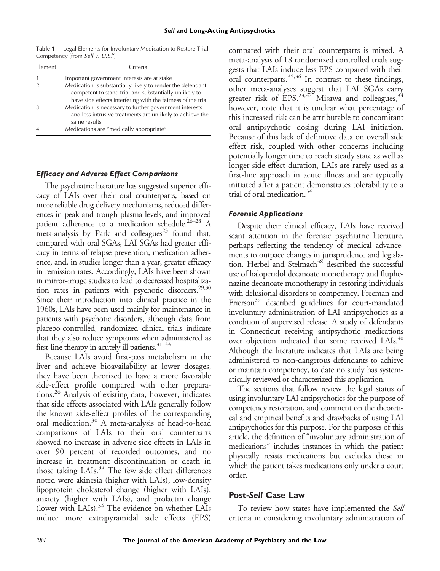Table 1 Legal Elements for Involuntary Medication to Restore Trial Competency (from Sell v. U.S.<sup>6</sup>)

| Element | Criteria                                                                                                                                                                             |
|---------|--------------------------------------------------------------------------------------------------------------------------------------------------------------------------------------|
|         | Important government interests are at stake                                                                                                                                          |
|         | Medication is substantially likely to render the defendant<br>competent to stand trial and substantially unlikely to<br>have side effects interfering with the fairness of the trial |
|         | Medication is necessary to further government interests<br>and less intrusive treatments are unlikely to achieve the<br>same results                                                 |
|         | Medications are "medically appropriate"                                                                                                                                              |

#### *Efficacy and Adverse Effect Comparisons*

The psychiatric literature has suggested superior efficacy of LAIs over their oral counterparts, based on more reliable drug delivery mechanisms, reduced differences in peak and trough plasma levels, and improved patient adherence to a medication schedule.26–<sup>28</sup> A meta-analysis by Park and colleagues<sup>23</sup> found that, compared with oral SGAs, LAI SGAs had greater efficacy in terms of relapse prevention, medication adherence, and, in studies longer than a year, greater efficacy in remission rates. Accordingly, LAIs have been shown in mirror-image studies to lead to decreased hospitalization rates in patients with psychotic disorders.<sup>29,30</sup> Since their introduction into clinical practice in the 1960s, LAIs have been used mainly for maintenance in patients with psychotic disorders, although data from placebo-controlled, randomized clinical trials indicate that they also reduce symptoms when administered as first-line therapy in acutely ill patients.<sup>31-33</sup>

Because LAIs avoid first-pass metabolism in the liver and achieve bioavailability at lower dosages, they have been theorized to have a more favorable side-effect profile compared with other preparations.26 Analysis of existing data, however, indicates that side effects associated with LAIs generally follow the known side-effect profiles of the corresponding oral medication.<sup>30</sup> A meta-analysis of head-to-head comparisons of LAIs to their oral counterparts showed no increase in adverse side effects in LAIs in over 90 percent of recorded outcomes, and no increase in treatment discontinuation or death in those taking LAIs.<sup>34</sup> The few side effect differences noted were akinesia (higher with LAIs), low-density lipoprotein cholesterol change (higher with LAIs), anxiety (higher with LAIs), and prolactin change (lower with LAIs).<sup>34</sup> The evidence on whether LAIs induce more extrapyramidal side effects (EPS)

compared with their oral counterparts is mixed. A meta-analysis of 18 randomized controlled trials suggests that LAIs induce less EPS compared with their oral counterparts.35,36 In contrast to these findings, other meta-analyses suggest that LAI SGAs carry greater risk of  $\mathrm{\dot{E}PS.^{23,37}}$  Misawa and colleagues,  $^{34}$ however, note that it is unclear what percentage of this increased risk can be attributable to concomitant oral antipsychotic dosing during LAI initiation. Because of this lack of definitive data on overall side effect risk, coupled with other concerns including potentially longer time to reach steady state as well as longer side effect duration, LAIs are rarely used as a first-line approach in acute illness and are typically initiated after a patient demonstrates tolerability to a trial of oral medication.34

#### *Forensic Applications*

Despite their clinical efficacy, LAIs have received scant attention in the forensic psychiatric literature, perhaps reflecting the tendency of medical advancements to outpace changes in jurisprudence and legislation. Herbel and Stelmach<sup>38</sup> described the successful use of haloperidol decanoate monotherapy and fluphenazine decanoate monotherapy in restoring individuals with delusional disorders to competency. Freeman and Frierson<sup>39</sup> described guidelines for court-mandated involuntary administration of LAI antipsychotics as a condition of supervised release. A study of defendants in Connecticut receiving antipsychotic medications over objection indicated that some received LAIs.<sup>40</sup> Although the literature indicates that LAIs are being administered to non-dangerous defendants to achieve or maintain competency, to date no study has systematically reviewed or characterized this application.

The sections that follow review the legal status of using involuntary LAI antipsychotics for the purpose of competency restoration, and comment on the theoretical and empirical benefits and drawbacks of using LAI antipsychotics for this purpose. For the purposes of this article, the definition of "involuntary administration of medications" includes instances in which the patient physically resists medications but excludes those in which the patient takes medications only under a court order.

## **Post-***Sell* **Case Law**

To review how states have implemented the Sell criteria in considering involuntary administration of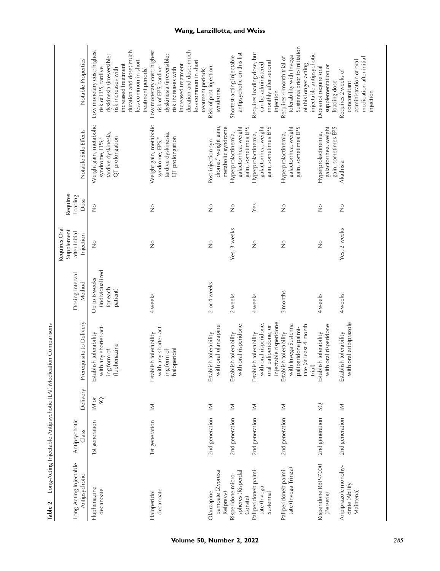| Long-Acting Injectable<br>Antipsychotic             | Antipsychotic<br>Class | Delivery                | Prerequisite to Delivery                                                                                  | Dosing Interval<br>Method                                | Requires Oral<br>Supplement<br>after Initial<br>Injection | Requires<br>Loading<br>Dose | Notable Side Effects                                                                            | Notable Properties                                                                                                                                                                                     |
|-----------------------------------------------------|------------------------|-------------------------|-----------------------------------------------------------------------------------------------------------|----------------------------------------------------------|-----------------------------------------------------------|-----------------------------|-------------------------------------------------------------------------------------------------|--------------------------------------------------------------------------------------------------------------------------------------------------------------------------------------------------------|
| Fluphenazine<br>decanoate                           | 1st generation         | IM or<br>$\overline{S}$ | with any shorter-act-<br>Establish tolerability<br>ing form of<br>fluphenazine                            | (individualized<br>Up to 6 weeks<br>for each<br>patient) | $\frac{1}{2}$                                             | $\frac{1}{2}$               | Weight gain, metabolic<br>tardive dyskinesia,<br>QT prolongation<br>syndrome, EPS, <sup>c</sup> | Low monetary cost; highest<br>duration and dose; much<br>dyskinesia (irreversible;<br>less common in short<br>increased treatment<br>risk increases with<br>risk of EPS, tardive<br>treatment periods) |
| decanoate<br>Haloperidol                            | 1st generation         | $\leq$                  | with any shorter-act-<br>Establish tolerability<br>ing form of<br>haloperidol                             | 4 weeks                                                  | $\frac{1}{2}$                                             | $\frac{1}{2}$               | Weight gain, metabolic<br>tardive dyskinesia,<br>QT prolongation<br>syndrome, EPS, <sup>c</sup> | duration and dose; much<br>Low monetary cost; highest<br>dyskinesia (irreversible;<br>less common in short<br>increased treatment<br>risk of EPS, tardive<br>risk increases with<br>treatment periods) |
| pamoate (Zyprexa<br>Olanzapine<br>Relprevv)         | 2nd generation         | $\leq$                  | ith oral olanzapine<br>Establish tolerability<br>$\geq$                                                   | 2 or 4 weeks                                             | $\frac{1}{2}$                                             | $\frac{1}{2}$               | drome, <sup>d</sup> weight gain,<br>metabolic syndrome<br>Post-injection syn-                   | Risk of post-injection<br>syndrome                                                                                                                                                                     |
| spheres (Risperdal<br>Risperidone micro-<br>Consta) | 2nd generation         | Σ                       | with oral risperidone<br>Establish tolerability                                                           | 2 weeks                                                  | Yes, 3 weeks                                              | $\frac{1}{2}$               | galactorrhea, weight<br>gain, sometimes EPS<br>Hyperprolactinemia,                              | antipsychotic on this list<br>Shortest-acting injectable                                                                                                                                               |
| Paliperidoneb palmi-<br>tate (Invega<br>Sustenna)   | 2nd generation         | $\leq$                  | injectable risperidone<br>with oral risperidone,<br>oral paliperidone, or<br>Establish tolerability       | 4 weeks                                                  | $\frac{1}{2}$                                             | Yes                         | galactorrhea, weight<br>gain, sometimes EPS<br>Hyperprolactinemia,                              | Requires loading dose, but<br>monthly after second<br>can be administered<br>injection                                                                                                                 |
| tate (Invega Trinza)<br>Paliperidoneb palmi-        | 2nd generation         | Σ                       | with Invega Sustenna<br>tate (at least 4-month<br>paliperidone palmi-<br>Establish tolerability<br>trial) | 3 months                                                 | $\frac{1}{2}$                                             | $\frac{1}{2}$               | galactorrhea, weight<br>gain, sometimes EPS<br>Hyperprolactinemia,                              | Sustenna prior to initiation<br>injectable antipsychotic<br>tolerability with Invega<br>Requires 4-month trial of<br>of this longer-acting                                                             |
| Risperidone RBP-7000<br>(Perseris)                  | 2nd generation         | SQ                      | with oral risperidone<br>Establish tolerability                                                           | 4 weeks                                                  | $\frac{1}{2}$                                             | $\frac{1}{2}$               | galactorrhea, weight<br>gain, sometimes EPS<br>Hyperprolactinemia,                              | supplementation or<br>Does not require oral<br>loading dose                                                                                                                                            |
| Aripiprazole monohy-<br>drate (Abilify<br>Maintena) | 2nd generation         | $\leq$                  | with oral aripiprazole<br>Establish tolerability                                                          | 4 weeks                                                  | Yes, 2 weeks                                              | $\frac{1}{2}$               | Akathisia                                                                                       | medication after initial<br>administration of oral<br>Requires 2 weeks of<br>concomitant<br>injection                                                                                                  |

# **Wang, Lanzillotta, and Weiss**

Table 2 Long-Acting Injectable Antipsychotic (LAI) Medication Comparisons

Table 2 Long-Acting Injectable Antipsychotic (LAI) Medication Comparisons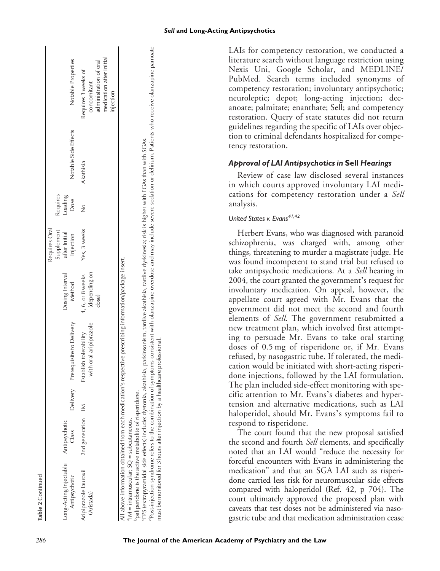|                   | ll gnizol              |
|-------------------|------------------------|
|                   | Antipsychoti           |
| Table 2 Continued | Long-Acting Injectable |

Requires Oral

Requires Ora

 $\mathsf{l}$ 

I

| Long-Acting Injectable<br>Antipsychotic                                                            | Antipsychotic<br>Class | Delivery | Prerequisite to Delivery                                                                                | Dosing Interval<br>Method                  | supplement<br>after Initial<br>Injection | Requires<br>Loading<br>Dose | Notable Side Effects | Notable Properties                                                                                  |
|----------------------------------------------------------------------------------------------------|------------------------|----------|---------------------------------------------------------------------------------------------------------|--------------------------------------------|------------------------------------------|-----------------------------|----------------------|-----------------------------------------------------------------------------------------------------|
| vripiprazole lauroxil<br>(Aristada)                                                                | 2nd generation IM      |          | with oral aripiprazole<br>Establish tolerability                                                        | (depending on<br>4, 6, or 8 weeks<br>dose) | Yes, 3 weeks                             |                             | Akathisia            | medication after initial<br>dministration of oral<br>Requires 3 weeks of<br>concomitant<br>njection |
| paliperidone is the active metabolite of risperidone.<br>$M =$ intramuscular; $SQ =$ subcutaneous. |                        |          | Il above information obtained from each medication's respective prescribing information/package insert. |                                            |                                          |                             |                      |                                                                                                     |

°EPS (extrapyramidal side effects) include: dystonia, akathisia, parkinsonism, tardive akathisia, tardive dyskinesia; risk is higher with FGAs than with SGAs.<br><sup>d</sup>Post-injection syndrome refers to the combination of symptom

EPS (extrapyramidal side effects) include: dystonia, akathisia, parkinsonism, tardive akathisia, tardive dyskinesia; risk is higher with FGAs than with SGAs.

Post-injection syndrome refers to the combination of symptoms consistent with olanzapine overdose and may include severe sedation or delirium. Patients who receive olanzapine pamoate

must be monitored for 3 hours after injection by a healthcare professional.

must be monitored for 3 hours after

injection by a healthcare professional

LAIs for competency restoration, we conducted a literature search without language restriction using Nexis Uni, Google Scholar, and MEDLINE/ PubMed. Search terms included synonyms of competency restoration; involuntary antipsychotic; neuroleptic; depot; long-acting injection; decanoate; palmitate; enanthate; Sell; and competency restoration. Query of state statutes did not return guidelines regarding the specific of LAIs over objection to criminal defendants hospitalized for competency restoration.

#### *Approval of LAI Antipsychotics in* **Sell** *Hearings*

Review of case law disclosed several instances in which courts approved involuntary LAI medications for competency restoration under a Sell analysis.

#### *United States v. Evans41,42*

Herbert Evans, who was diagnosed with paranoid schizophrenia, was charged with, among other things, threatening to murder a magistrate judge. He was found incompetent to stand trial but refused to take antipsychotic medications. At a Sell hearing in 2004, the court granted the government's request for involuntary medication. On appeal, however, the appellate court agreed with Mr. Evans that the government did not meet the second and fourth elements of Sell. The government resubmitted a new treatment plan, which involved first attempting to persuade Mr. Evans to take oral starting doses of 0.5 mg of risperidone or, if Mr. Evans refused, by nasogastric tube. If tolerated, the medication would be initiated with short-acting risperidone injections, followed by the LAI formulation. The plan included side-effect monitoring with specific attention to Mr. Evans's diabetes and hypertension and alternative medications, such as LAI haloperidol, should Mr. Evans's symptoms fail to respond to risperidone.

The court found that the new proposal satisfied the second and fourth Sell elements, and specifically noted that an LAI would "reduce the necessity for forceful encounters with Evans in administering the medication" and that an SGA LAI such as risperidone carried less risk for neuromuscular side effects compared with haloperidol (Ref. 42, p 704). The court ultimately approved the proposed plan with caveats that test doses not be administered via nasogastric tube and that medication administration cease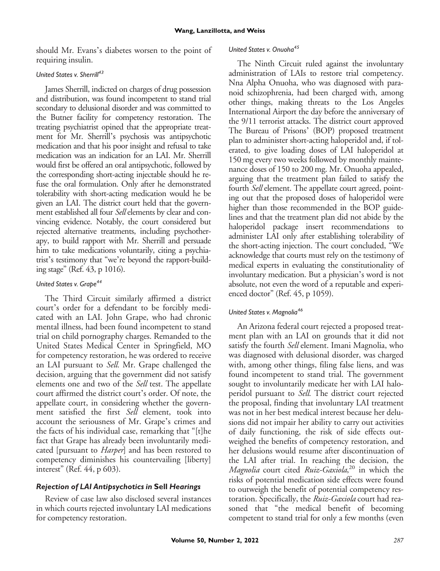should Mr. Evans's diabetes worsen to the point of requiring insulin.

#### *United States v. Sherrill<sup>43</sup>*

James Sherrill, indicted on charges of drug possession and distribution, was found incompetent to stand trial secondary to delusional disorder and was committed to the Butner facility for competency restoration. The treating psychiatrist opined that the appropriate treatment for Mr. Sherrill's psychosis was antipsychotic medication and that his poor insight and refusal to take medication was an indication for an LAI. Mr. Sherrill would first be offered an oral antipsychotic, followed by the corresponding short-acting injectable should he refuse the oral formulation. Only after he demonstrated tolerability with short-acting medication would he be given an LAI. The district court held that the government established all four Sell elements by clear and convincing evidence. Notably, the court considered but rejected alternative treatments, including psychotherapy, to build rapport with Mr. Sherrill and persuade him to take medications voluntarily, citing a psychiatrist's testimony that "we're beyond the rapport-building stage" (Ref. 43, p 1016).

#### *United States v. Grape44*

The Third Circuit similarly affirmed a district court's order for a defendant to be forcibly medicated with an LAI. John Grape, who had chronic mental illness, had been found incompetent to stand trial on child pornography charges. Remanded to the United States Medical Center in Springfield, MO for competency restoration, he was ordered to receive an LAI pursuant to Sell. Mr. Grape challenged the decision, arguing that the government did not satisfy elements one and two of the Sell test. The appellate court affirmed the district court's order. Of note, the appellate court, in considering whether the government satisfied the first Sell element, took into account the seriousness of Mr. Grape's crimes and the facts of his individual case, remarking that "[t]he fact that Grape has already been involuntarily medicated [pursuant to *Harper*] and has been restored to competency diminishes his countervailing [liberty] interest" (Ref. 44, p 603).

#### *Rejection of LAI Antipsychotics in* **Sell** *Hearings*

Review of case law also disclosed several instances in which courts rejected involuntary LAI medications for competency restoration.

#### *United States v. Onuoha<sup>45</sup>*

The Ninth Circuit ruled against the involuntary administration of LAIs to restore trial competency. Nna Alpha Onuoha, who was diagnosed with paranoid schizophrenia, had been charged with, among other things, making threats to the Los Angeles International Airport the day before the anniversary of the 9/11 terrorist attacks. The district court approved The Bureau of Prisons' (BOP) proposed treatment plan to administer short-acting haloperidol and, if tolerated, to give loading doses of LAI haloperidol at 150 mg every two weeks followed by monthly maintenance doses of 150 to 200 mg. Mr. Onuoha appealed, arguing that the treatment plan failed to satisfy the fourth Sell element. The appellate court agreed, pointing out that the proposed doses of haloperidol were higher than those recommended in the BOP guidelines and that the treatment plan did not abide by the haloperidol package insert recommendations to administer LAI only after establishing tolerability of the short-acting injection. The court concluded, "We acknowledge that courts must rely on the testimony of medical experts in evaluating the constitutionality of involuntary medication. But a physician's word is not absolute, not even the word of a reputable and experienced doctor" (Ref. 45, p 1059).

#### *United States v. Magnolia<sup>46</sup>*

An Arizona federal court rejected a proposed treatment plan with an LAI on grounds that it did not satisfy the fourth Sell element. Imani Magnolia, who was diagnosed with delusional disorder, was charged with, among other things, filing false liens, and was found incompetent to stand trial. The government sought to involuntarily medicate her with LAI haloperidol pursuant to Sell. The district court rejected the proposal, finding that involuntary LAI treatment was not in her best medical interest because her delusions did not impair her ability to carry out activities of daily functioning, the risk of side effects outweighed the benefits of competency restoration, and her delusions would resume after discontinuation of the LAI after trial. In reaching the decision, the Magnolia court cited Ruiz-Gaxiola,<sup>20</sup> in which the risks of potential medication side effects were found to outweigh the benefit of potential competency restoration. Specifically, the Ruiz-Gaxiola court had reasoned that "the medical benefit of becoming competent to stand trial for only a few months (even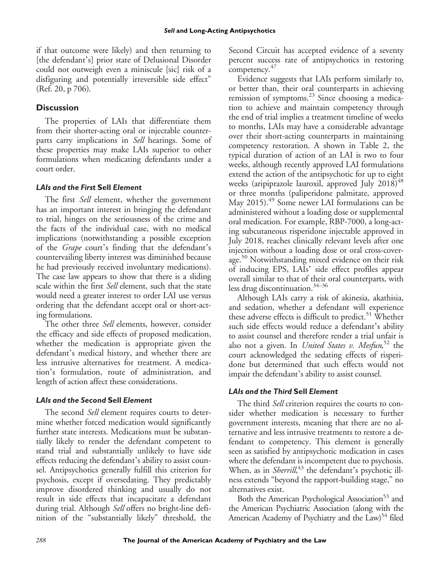if that outcome were likely) and then returning to [the defendant's] prior state of Delusional Disorder could not outweigh even a miniscule [sic] risk of a disfiguring and potentially irreversible side effect" (Ref. 20, p 706).

## **Discussion**

The properties of LAIs that differentiate them from their shorter-acting oral or injectable counterparts carry implications in *Sell* hearings. Some of these properties may make LAIs superior to other formulations when medicating defendants under a court order.

#### *LAIs and the First* **Sell** *Element*

The first *Sell* element, whether the government has an important interest in bringing the defendant to trial, hinges on the seriousness of the crime and the facts of the individual case, with no medical implications (notwithstanding a possible exception of the Grape court's finding that the defendant's countervailing liberty interest was diminished because he had previously received involuntary medications). The case law appears to show that there is a sliding scale within the first Sell element, such that the state would need a greater interest to order LAI use versus ordering that the defendant accept oral or short-acting formulations.

The other three Sell elements, however, consider the efficacy and side effects of proposed medication, whether the medication is appropriate given the defendant's medical history, and whether there are less intrusive alternatives for treatment. A medication's formulation, route of administration, and length of action affect these considerations.

## *LAIs and the Second* **Sell** *Element*

The second *Sell* element requires courts to determine whether forced medication would significantly further state interests. Medications must be substantially likely to render the defendant competent to stand trial and substantially unlikely to have side effects reducing the defendant's ability to assist counsel. Antipsychotics generally fulfill this criterion for psychosis, except if oversedating. They predictably improve disordered thinking and usually do not result in side effects that incapacitate a defendant during trial. Although Sell offers no bright-line definition of the "substantially likely" threshold, the Second Circuit has accepted evidence of a seventy percent success rate of antipsychotics in restoring competency.<sup>47</sup>

Evidence suggests that LAIs perform similarly to, or better than, their oral counterparts in achieving remission of symptoms.23 Since choosing a medication to achieve and maintain competency through the end of trial implies a treatment timeline of weeks to months, LAIs may have a considerable advantage over their short-acting counterparts in maintaining competency restoration. A shown in Table 2, the typical duration of action of an LAI is two to four weeks, although recently approved LAI formulations extend the action of the antipsychotic for up to eight weeks (aripiprazole lauroxil, approved July  $2018)^{48}$ or three months (paliperidone palmitate, approved May 2015). $^{49}$  Some newer LAI formulations can be administered without a loading dose or supplemental oral medication. For example, RBP-7000, a long-acting subcutaneous risperidone injectable approved in July 2018, reaches clinically relevant levels after one injection without a loading dose or oral cross-coverage.<sup>50</sup> Notwithstanding mixed evidence on their risk of inducing EPS, LAIs' side effect profiles appear overall similar to that of their oral counterparts, with less drug discontinuation.<sup>34-36</sup>

Although LAIs carry a risk of akinesia, akathisia, and sedation, whether a defendant will experience these adverse effects is difficult to predict.<sup>51</sup> Whether such side effects would reduce a defendant's ability to assist counsel and therefore render a trial unfair is also not a given. In *United States v. Mesfun*,<sup>52</sup> the court acknowledged the sedating effects of risperidone but determined that such effects would not impair the defendant's ability to assist counsel.

## *LAIs and the Third* **Sell** *Element*

The third Sell criterion requires the courts to consider whether medication is necessary to further government interests, meaning that there are no alternative and less intrusive treatments to restore a defendant to competency. This element is generally seen as satisfied by antipsychotic medication in cases where the defendant is incompetent due to psychosis. When, as in Sherrill,<sup>43</sup> the defendant's psychotic illness extends "beyond the rapport-building stage," no alternatives exist.

Both the American Psychological Association<sup>53</sup> and the American Psychiatric Association (along with the American Academy of Psychiatry and the Law)<sup>54</sup> filed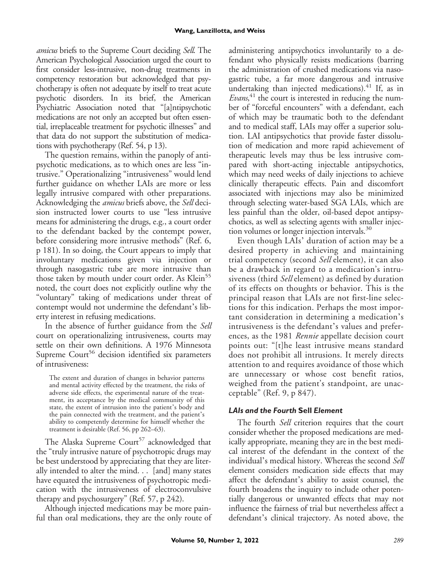amicus briefs to the Supreme Court deciding Sell. The American Psychological Association urged the court to first consider less-intrusive, non-drug treatments in competency restoration but acknowledged that psychotherapy is often not adequate by itself to treat acute psychotic disorders. In its brief, the American Psychiatric Association noted that "[a]ntipsychotic medications are not only an accepted but often essential, irreplaceable treatment for psychotic illnesses" and that data do not support the substitution of medications with psychotherapy (Ref. 54, p 13).

The question remains, within the panoply of antipsychotic medications, as to which ones are less "intrusive." Operationalizing "intrusiveness" would lend further guidance on whether LAIs are more or less legally intrusive compared with other preparations. Acknowledging the *amicus* briefs above, the *Sell* decision instructed lower courts to use "less intrusive means for administering the drugs, e.g., a court order to the defendant backed by the contempt power, before considering more intrusive methods" (Ref. 6, p 181). In so doing, the Court appears to imply that involuntary medications given via injection or through nasogastric tube are more intrusive than those taken by mouth under court order. As Klein<sup>55</sup> noted, the court does not explicitly outline why the "voluntary" taking of medications under threat of contempt would not undermine the defendant's liberty interest in refusing medications.

In the absence of further guidance from the Sell court on operationalizing intrusiveness, courts may settle on their own definitions. A 1976 Minnesota Supreme  $Count<sup>56</sup>$  decision identified six parameters of intrusiveness:

The extent and duration of changes in behavior patterns and mental activity effected by the treatment, the risks of adverse side effects, the experimental nature of the treatment, its acceptance by the medical community of this state, the extent of intrusion into the patient's body and the pain connected with the treatment, and the patient's ability to competently determine for himself whether the treatment is desirable (Ref. 56, pp 262–63).

The Alaska Supreme Court<sup>57</sup> acknowledged that the "truly intrusive nature of psychotropic drugs may be best understood by appreciating that they are literally intended to alter the mind. . . [and] many states have equated the intrusiveness of psychotropic medication with the intrusiveness of electroconvulsive therapy and psychosurgery" (Ref. 57, p 242).

Although injected medications may be more painful than oral medications, they are the only route of administering antipsychotics involuntarily to a defendant who physically resists medications (barring the administration of crushed medications via nasogastric tube, a far more dangerous and intrusive undertaking than injected medications). $41$  If, as in Evans,<sup>41</sup> the court is interested in reducing the number of "forceful encounters" with a defendant, each of which may be traumatic both to the defendant and to medical staff, LAIs may offer a superior solution. LAI antipsychotics that provide faster dissolution of medication and more rapid achievement of therapeutic levels may thus be less intrusive compared with short-acting injectable antipsychotics, which may need weeks of daily injections to achieve clinically therapeutic effects. Pain and discomfort associated with injections may also be minimized through selecting water-based SGA LAIs, which are less painful than the older, oil-based depot antipsychotics, as well as selecting agents with smaller injection volumes or longer injection intervals.<sup>30</sup>

Even though LAIs' duration of action may be a desired property in achieving and maintaining trial competency (second Sell element), it can also be a drawback in regard to a medication's intrusiveness (third Sell element) as defined by duration of its effects on thoughts or behavior. This is the principal reason that LAIs are not first-line selections for this indication. Perhaps the most important consideration in determining a medication's intrusiveness is the defendant's values and preferences, as the 1981 Rennie appellate decision court points out: "[t]he least intrusive means standard does not prohibit all intrusions. It merely directs attention to and requires avoidance of those which are unnecessary or whose cost benefit ratios, weighed from the patient's standpoint, are unacceptable" (Ref. 9, p 847).

## *LAIs and the Fourth* **Sell** *Element*

The fourth Sell criterion requires that the court consider whether the proposed medications are medically appropriate, meaning they are in the best medical interest of the defendant in the context of the individual's medical history. Whereas the second Sell element considers medication side effects that may affect the defendant's ability to assist counsel, the fourth broadens the inquiry to include other potentially dangerous or unwanted effects that may not influence the fairness of trial but nevertheless affect a defendant's clinical trajectory. As noted above, the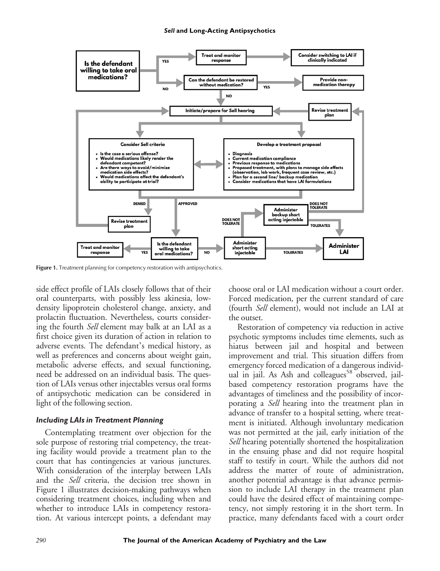

Figure 1. Treatment planning for competency restoration with antipsychotics.

side effect profile of LAIs closely follows that of their oral counterparts, with possibly less akinesia, lowdensity lipoprotein cholesterol change, anxiety, and prolactin fluctuation. Nevertheless, courts considering the fourth Sell element may balk at an LAI as a first choice given its duration of action in relation to adverse events. The defendant's medical history, as well as preferences and concerns about weight gain, metabolic adverse effects, and sexual functioning, need be addressed on an individual basis. The question of LAIs versus other injectables versus oral forms of antipsychotic medication can be considered in light of the following section.

#### *Including LAIs in Treatment Planning*

Contemplating treatment over objection for the sole purpose of restoring trial competency, the treating facility would provide a treatment plan to the court that has contingencies at various junctures. With consideration of the interplay between LAIs and the Sell criteria, the decision tree shown in Figure 1 illustrates decision-making pathways when considering treatment choices, including when and whether to introduce LAIs in competency restoration. At various intercept points, a defendant may choose oral or LAI medication without a court order. Forced medication, per the current standard of care (fourth Sell element), would not include an LAI at the outset.

Restoration of competency via reduction in active psychotic symptoms includes time elements, such as hiatus between jail and hospital and between improvement and trial. This situation differs from emergency forced medication of a dangerous individual in jail. As Ash and colleagues<sup>58</sup> observed, jailbased competency restoration programs have the advantages of timeliness and the possibility of incorporating a Sell hearing into the treatment plan in advance of transfer to a hospital setting, where treatment is initiated. Although involuntary medication was not permitted at the jail, early initiation of the Sell hearing potentially shortened the hospitalization in the ensuing phase and did not require hospital staff to testify in court. While the authors did not address the matter of route of administration, another potential advantage is that advance permission to include LAI therapy in the treatment plan could have the desired effect of maintaining competency, not simply restoring it in the short term. In practice, many defendants faced with a court order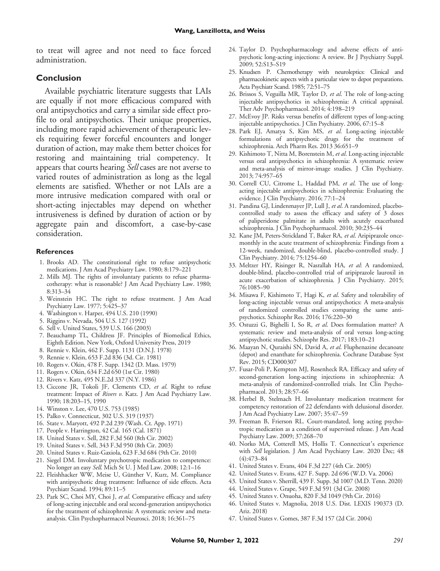to treat will agree and not need to face forced administration.

#### **Conclusion**

Available psychiatric literature suggests that LAIs are equally if not more efficacious compared with oral antipsychotics and carry a similar side effect profile to oral antipsychotics. Their unique properties, including more rapid achievement of therapeutic levels requiring fewer forceful encounters and longer duration of action, may make them better choices for restoring and maintaining trial competency. It appears that courts hearing *Sell* cases are not averse to varied routes of administration as long as the legal elements are satisfied. Whether or not LAIs are a more intrusive medication compared with oral or short-acting injectables may depend on whether intrusiveness is defined by duration of action or by aggregate pain and discomfort, a case-by-case consideration.

#### **References**

- 1. Brooks AD. The constitutional right to refuse antipsychotic medications. J Am Acad Psychiatry Law. 1980; 8:179–221
- 2. Mills MJ. The rights of involuntary patients to refuse pharmacotherapy: what is reasonable? J Am Acad Psychiatry Law. 1980; 8:313–34
- 3. Weinstein HC. The right to refuse treatment. J Am Acad Psychiatry Law. 1977; 5:425–37
- 4. Washington v. Harper, 494 U.S. 210 (1990)
- 5. Riggins v. Nevada, 504 U.S. 127 (1992)
- 6. Sell v. United States, 539 U.S. 166 (2003)
- 7. Beauchamp TL, Childress JF. Principles of Biomedical Ethics, Eighth Edition. New York, Oxford University Press, 2019
- 8. Rennie v. Klein, 462 F. Supp. 1131 (D.N.J. 1978)
- 9. Rennie v. Klein, 653 F.2d 836 (3d. Cir. 1981)
- 10. Rogers v. Okin, 478 F. Supp. 1342 (D. Mass. 1979)
- 11. Rogers v. Okin, 634 F.2d 650 (1st Cir. 1980)
- 12. Rivers v. Katz, 495 N.E.2d 337 (N.Y. 1986)
- 13. Ciccone JR, Tokoli JF, Clements CD, et al. Right to refuse treatment: Impact of Rivers v. Katz. J Am Acad Psychiatry Law. 1990; 18:203–15, 1990
- 14. Winston v. Lee, 470 U.S. 753 (1985)
- 15. Palko v. Connecticut, 302 U.S. 319 (1937)
- 16. State v. Maryott, 492 P.2d 239 (Wash. Ct. App. 1971)
- 17. People v. Harrington, 42 Cal. 165 (Cal. 1871)
- 18. United States v. Sell, 282 F.3d 560 (8th Cir. 2002)
- 19. United States v. Sell, 343 F.3d 950 (8th Cir. 2003)
- 20. United States v. Ruiz-Gaxiola, 623 F.3d 684 (9th Cir. 2010)
- 21. Siegel DM. Involuntary psychotropic medication to competence: No longer an easy Sell. Mich St U. J Med Law. 2008; 12:1–16
- 22. Fleishhacker WW, Meise U, Günther V, Kurz, M. Compliance with antipsychotic drug treatment: Influence of side effects. Acta Psychiatr Scand. 1994; 89:11–5
- 23. Park SC, Choi MY, Choi J, et al. Comparative efficacy and safety of long-acting injectable and oral second-generation antipsychotics for the treatment of schizophrenia: A systematic review and metaanalysis. Clin Psychopharmacol Neurosci. 2018; 16:361–75
- 24. Taylor D. Psychopharmacology and adverse effects of antipsychotic long-acting injections: A review. Br J Psychiatry Suppl. 2009; 52:S13–S19
- 25. Knudsen P. Chemotherapy with neuroleptics: Clinical and pharmacokinetic aspects with a particular view to depot preparations. Acta Psychiatr Scand. 1985; 72:51–75
- 26. Brissos S, Veguilla MR, Taylor D, et al. The role of long-acting injectable antipsychotics in schizophrenia: A critical appraisal. Ther Adv Psychopharmacol. 2014; 4:198–219
- 27. McEvoy JP. Risks versus benefits of different types of long-acting injectable antipsychotics. J Clin Psychiatry. 2006, 67:15–8
- 28. Park EJ, Amatya S, Kim MS, et al. Long-acting injectable formulations of antipsychotic drugs for the treatment of schizophrenia. Arch Pharm Res. 2013 36:651–9
- 29. Kishimoto T, Nitta M, Borenstein M, et al. Long-acting injectable versus oral antipsychotics in schizophrenia: A systematic review and meta-analysis of mirror-image studies. J Clin Psychiatry. 2013; 74:957–65
- 30. Correll CU, Citrome L, Haddad PM, et al. The use of longacting injectable antipsychotics in schizophrenia: Evaluating the evidence. J Clin Psychiatry. 2016; 77:1–24
- 31. Pandina GJ, Lindenmayer JP, Lull J, et al. A randomized, placebocontrolled study to assess the efficacy and safety of 3 doses of paliperidone palmitate in adults with acutely exacerbated schizophrenia. J Clin Psychopharmacol. 2010; 30:235–44
- 32. Kane JM, Peters-Strickland T, Baker RA, et al. Aripiprazole oncemonthly in the acute treatment of schizophrenia: Findings from a 12-week, randomized, double-blind, placebo-controlled study. J Clin Psychiatry. 2014; 75:1254–60
- 33. Meltzer HY, Risinger R, Nasrallah HA, et al: A randomized, double-blind, placebo-controlled trial of aripiprazole lauroxil in acute exacerbation of schizophrenia. J Clin Psychiatry. 2015; 76:1085–90
- 34. Misawa F, Kishimoto T, Hagi K, et al. Safety and tolerability of long-acting injectable versus oral antipsychotics: A meta-analysis of randomized controlled studies comparing the same antipsychotics. Schizophr Res. 2016; 176:220–30
- 35. Ostuzzi G, Bighelli I, So R, et al. Does formulation matter? A systematic review and meta-analysis of oral versus long-acting antipsychotic studies. Schizophr Res. 2017; 183:10–21
- 36. Maayan N, Quraishi SN, David A, et al. Fluphenazine decanoate (depot) and enanthate for schizophrenia. Cochrane Database Syst Rev. 2015; CD000307
- 37. Fusar-Poli P, Kempton MJ, Rosenheck RA. Efficacy and safety of second-generation long-acting injections in schizophrenia: A meta-analysis of randomized-controlled trials. Int Clin Psychopharmacol. 2013; 28:57–66
- 38. Herbel B, Stelmach H. Involuntary medication treatment for competency restoration of 22 defendants with delusional disorder. J Am Acad Psychiatry Law. 2007; 35:47–59
- 39. Freeman B, Frierson RL. Court-mandated, long acting psychotropic medication as a condition of supervised release. J Am Acad Psychiatry Law. 2009; 37:268–70
- 40. Norko MA, Cotterell MS, Hollis T. Connecticut's experience with Sell legislation. J Am Acad Psychiatry Law. 2020 Dec; 48 (4):473–84
- 41. United States v. Evans, 404 F.3d 227 (4th Cir. 2005)
- 42. United States v. Evans, 427 F. Supp. 2d 696 (W.D. Va. 2006)
- 43. United States v. Sherrill, 439 F. Supp. 3d 1007 (M.D. Tenn. 2020)
- 44. United States v. Grape, 549 F.3d 591 (3d Cir. 2008)
- 45. United States v. Onuoha, 820 F.3d 1049 (9th Cir. 2016)
- 46. United States v. Magnolia, 2018 U.S. Dist. LEXIS 190373 (D. Ariz. 2018)
- 47. United States v. Gomes, 387 F.3d 157 (2d Cir. 2004)